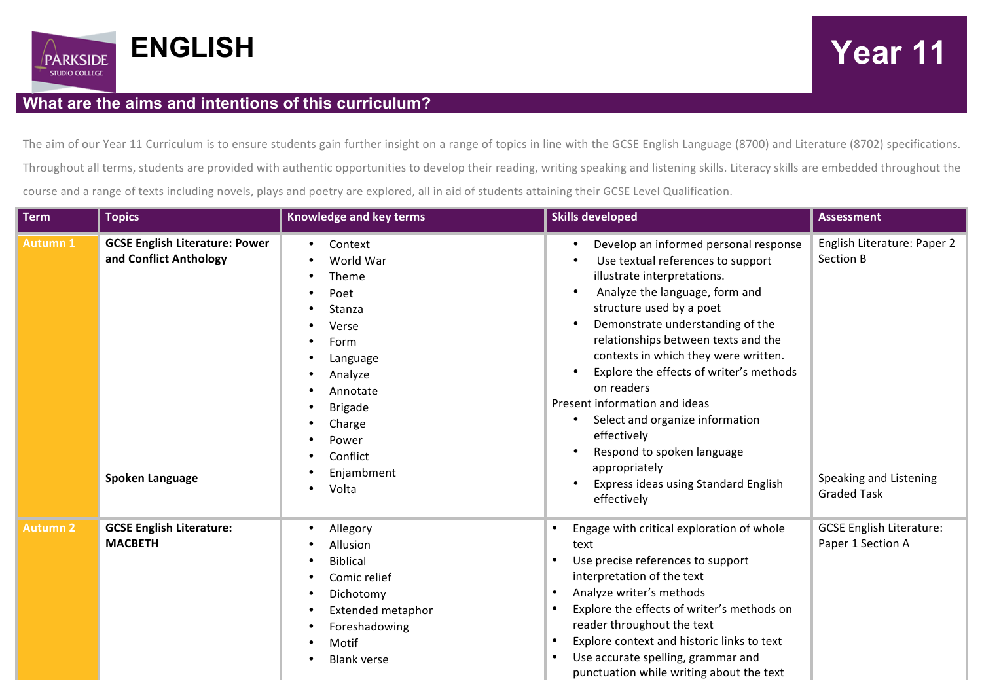

## **What are the aims and intentions of this curriculum?**

The aim of our Year 11 Curriculum is to ensure students gain further insight on a range of topics in line with the GCSE English Language (8700) and Literature (8702) specifications. Throughout all terms, students are provided with authentic opportunities to develop their reading, writing speaking and listening skills. Literacy skills are embedded throughout the course and a range of texts including novels, plays and poetry are explored, all in aid of students attaining their GCSE Level Qualification.

| <b>Term</b>     | <b>Topics</b>                                                                             | <b>Knowledge and key terms</b>                                                                                                                                              | <b>Skills developed</b>                                                                                                                                                                                                                                                                                                                                                                                                                                                                                                                           | <b>Assessment</b>                                                                        |
|-----------------|-------------------------------------------------------------------------------------------|-----------------------------------------------------------------------------------------------------------------------------------------------------------------------------|---------------------------------------------------------------------------------------------------------------------------------------------------------------------------------------------------------------------------------------------------------------------------------------------------------------------------------------------------------------------------------------------------------------------------------------------------------------------------------------------------------------------------------------------------|------------------------------------------------------------------------------------------|
| <b>Autumn 1</b> | <b>GCSE English Literature: Power</b><br>and Conflict Anthology<br><b>Spoken Language</b> | Context<br>World War<br>Theme<br>Poet<br>Stanza<br>Verse<br>Form<br>Language<br>Analyze<br>Annotate<br><b>Brigade</b><br>Charge<br>Power<br>Conflict<br>Enjambment<br>Volta | Develop an informed personal response<br>Use textual references to support<br>illustrate interpretations.<br>Analyze the language, form and<br>structure used by a poet<br>Demonstrate understanding of the<br>relationships between texts and the<br>contexts in which they were written.<br>Explore the effects of writer's methods<br>on readers<br>Present information and ideas<br>Select and organize information<br>٠<br>effectively<br>Respond to spoken language<br>appropriately<br>Express ideas using Standard English<br>effectively | English Literature: Paper 2<br>Section B<br>Speaking and Listening<br><b>Graded Task</b> |
| <b>Autumn 2</b> | <b>GCSE English Literature:</b><br><b>MACBETH</b>                                         | Allegory<br>Allusion<br><b>Biblical</b><br>Comic relief<br>Dichotomy<br><b>Extended metaphor</b><br>Foreshadowing<br>Motif<br><b>Blank verse</b><br>$\bullet$               | Engage with critical exploration of whole<br>text<br>Use precise references to support<br>interpretation of the text<br>Analyze writer's methods<br>$\bullet$<br>Explore the effects of writer's methods on<br>$\bullet$<br>reader throughout the text<br>Explore context and historic links to text<br>$\bullet$<br>Use accurate spelling, grammar and<br>$\bullet$<br>punctuation while writing about the text                                                                                                                                  | <b>GCSE English Literature:</b><br>Paper 1 Section A                                     |